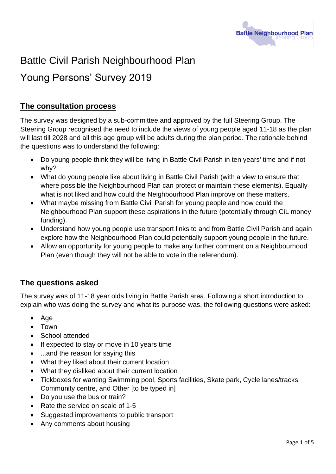

# Battle Civil Parish Neighbourhood Plan

# Young Persons' Survey 2019

# **The consultation process**

The survey was designed by a sub-committee and approved by the full Steering Group. The Steering Group recognised the need to include the views of young people aged 11-18 as the plan will last till 2028 and all this age group will be adults during the plan period. The rationale behind the questions was to understand the following:

- Do young people think they will be living in Battle Civil Parish in ten years' time and if not why?
- What do young people like about living in Battle Civil Parish (with a view to ensure that where possible the Neighbourhood Plan can protect or maintain these elements). Equally what is not liked and how could the Neighbourhood Plan improve on these matters.
- What maybe missing from Battle Civil Parish for young people and how could the Neighbourhood Plan support these aspirations in the future (potentially through CiL money funding).
- Understand how young people use transport links to and from Battle Civil Parish and again explore how the Neighbourhood Plan could potentially support young people in the future.
- Allow an opportunity for young people to make any further comment on a Neighbourhood Plan (even though they will not be able to vote in the referendum).

# **The questions asked**

The survey was of 11-18 year olds living in Battle Parish area. Following a short introduction to explain who was doing the survey and what its purpose was, the following questions were asked:

- Age
- Town
- School attended
- If expected to stay or move in 10 years time
- ...and the reason for saying this
- What they liked about their current location
- What they disliked about their current location
- Tickboxes for wanting Swimming pool, Sports facilities, Skate park, Cycle lanes/tracks, Community centre, and Other [to be typed in]
- Do you use the bus or train?
- Rate the service on scale of 1-5
- Suggested improvements to public transport
- Any comments about housing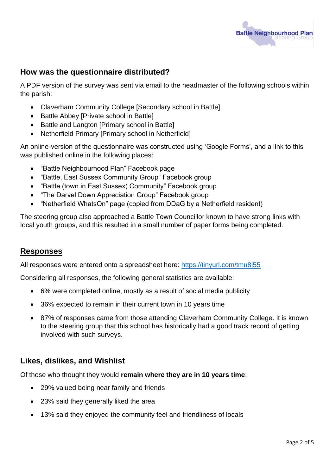

## **How was the questionnaire distributed?**

A PDF version of the survey was sent via email to the headmaster of the following schools within the parish:

- Claverham Community College [Secondary school in Battle]
- Battle Abbey [Private school in Battle]
- Battle and Langton [Primary school in Battle]
- Netherfield Primary [Primary school in Netherfield]

An online-version of the questionnaire was constructed using 'Google Forms', and a link to this was published online in the following places:

- "Battle Neighbourhood Plan" Facebook page
- "Battle, East Sussex Community Group" Facebook group
- "Battle (town in East Sussex) Community" Facebook group
- "The Darvel Down Appreciation Group" Facebook group
- "Netherfield WhatsOn" page (copied from DDaG by a Netherfield resident)

The steering group also approached a Battle Town Councillor known to have strong links with local youth groups, and this resulted in a small number of paper forms being completed.

#### **Responses**

All responses were entered onto a spreadsheet here:<https://tinyurl.com/tmu8j55>

Considering all responses, the following general statistics are available:

- 6% were completed online, mostly as a result of social media publicity
- 36% expected to remain in their current town in 10 years time
- 87% of responses came from those attending Claverham Community College. It is known to the steering group that this school has historically had a good track record of getting involved with such surveys.

#### **Likes, dislikes, and Wishlist**

Of those who thought they would **remain where they are in 10 years time**:

- 29% valued being near family and friends
- 23% said they generally liked the area
- 13% said they enjoyed the community feel and friendliness of locals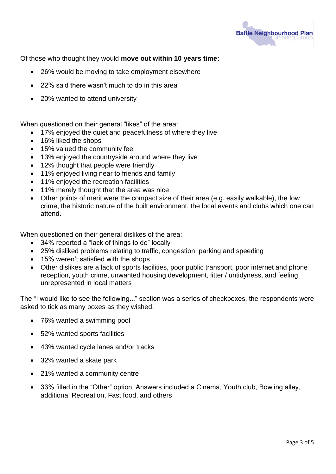

Of those who thought they would **move out within 10 years time:**

- 26% would be moving to take employment elsewhere
- 22% said there wasn't much to do in this area
- 20% wanted to attend university

When questioned on their general "likes" of the area:

- 17% enjoyed the quiet and peacefulness of where they live
- 16% liked the shops
- 15% valued the community feel
- 13% enjoyed the countryside around where they live
- 12% thought that people were friendly
- 11% enjoyed living near to friends and family
- 11% enjoved the recreation facilities
- 11% merely thought that the area was nice
- Other points of merit were the compact size of their area (e.g. easily walkable), the low crime, the historic nature of the built environment, the local events and clubs which one can attend.

When questioned on their general dislikes of the area:

- 34% reported a "lack of things to do" locally
- 25% disliked problems relating to traffic, congestion, parking and speeding
- 15% weren't satisfied with the shops
- Other dislikes are a lack of sports facilities, poor public transport, poor internet and phone reception, youth crime, unwanted housing development, litter / untidyness, and feeling unrepresented in local matters

The "I would like to see the following..." section was a series of checkboxes, the respondents were asked to tick as many boxes as they wished.

- 76% wanted a swimming pool
- 52% wanted sports facilities
- 43% wanted cycle lanes and/or tracks
- 32% wanted a skate park
- 21% wanted a community centre
- 33% filled in the "Other" option. Answers included a Cinema, Youth club, Bowling alley, additional Recreation, Fast food, and others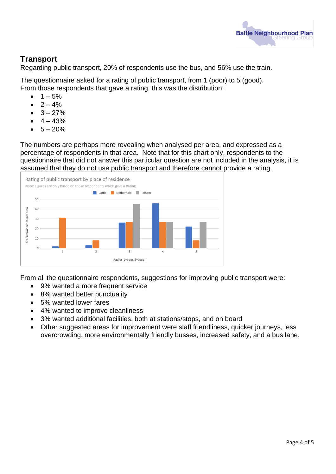

# **Transport**

Regarding public transport, 20% of respondents use the bus, and 56% use the train.

The questionnaire asked for a rating of public transport, from 1 (poor) to 5 (good). From those respondents that gave a rating, this was the distribution:

- $1 5%$
- $2 4%$
- $\bullet$  3 27%
- $\bullet$  4 43%
- $5 20%$

The numbers are perhaps more revealing when analysed per area, and expressed as a percentage of respondents in that area. Note that for this chart only, respondents to the questionnaire that did not answer this particular question are not included in the analysis, it is assumed that they do not use public transport and therefore cannot provide a rating.



From all the questionnaire respondents, suggestions for improving public transport were:

- 9% wanted a more frequent service
- 8% wanted better punctuality
- 5% wanted lower fares
- 4% wanted to improve cleanliness
- 3% wanted additional facilities, both at stations/stops, and on board
- Other suggested areas for improvement were staff friendliness, quicker journeys, less overcrowding, more environmentally friendly busses, increased safety, and a bus lane.